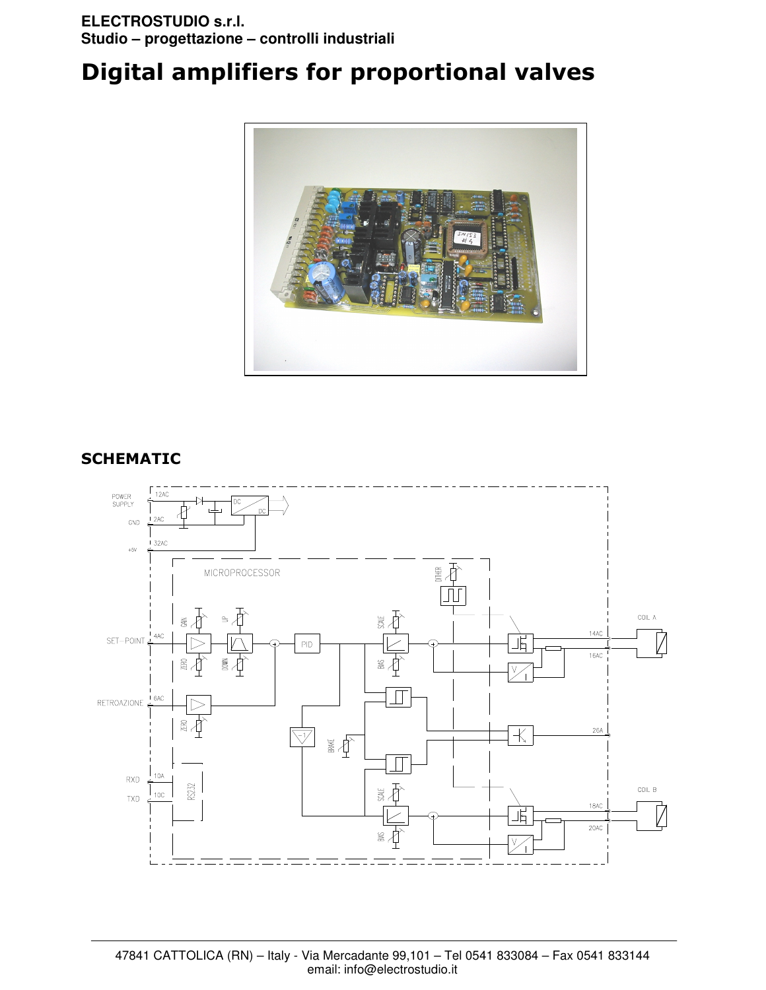# Digital amplifiers for proportional valves



# SCHEMATIC

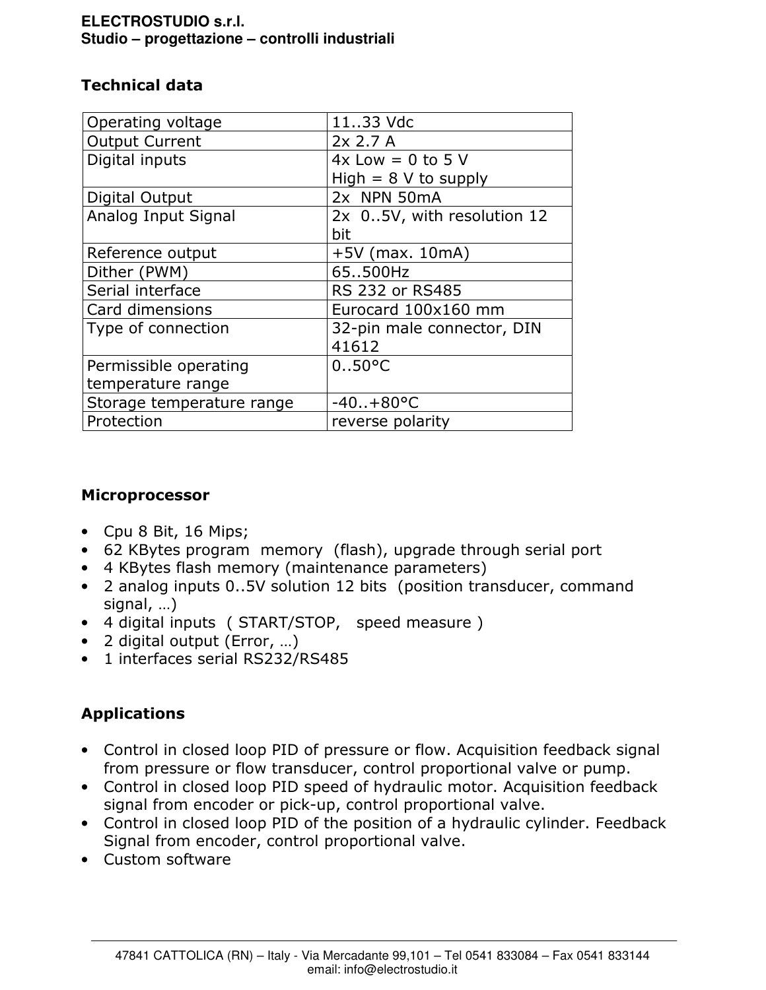# Technical data

| Operating voltage         | 1133 Vdc                   |  |  |
|---------------------------|----------------------------|--|--|
| <b>Output Current</b>     | 2x 2.7A                    |  |  |
| Digital inputs            | $4x$ Low = 0 to 5 V        |  |  |
|                           | High $= 8$ V to supply     |  |  |
| Digital Output            | 2x NPN 50mA                |  |  |
| Analog Input Signal       | 2x 05V, with resolution 12 |  |  |
|                           | bit                        |  |  |
| Reference output          | $+5V$ (max. 10mA)          |  |  |
| Dither (PWM)              | 65500Hz                    |  |  |
| Serial interface          | RS 232 or RS485            |  |  |
| Card dimensions           | Eurocard 100x160 mm        |  |  |
| Type of connection        | 32-pin male connector, DIN |  |  |
|                           | 41612                      |  |  |
| Permissible operating     | $0.50^{\circ}$ C           |  |  |
| temperature range         |                            |  |  |
| Storage temperature range | $-40.1 + 80^{\circ}$ C     |  |  |
| Protection                | reverse polarity           |  |  |

# Microprocessor

- Cpu 8 Bit, 16 Mips;
- 62 KBytes program memory (flash), upgrade through serial port
- 4 KBytes flash memory (maintenance parameters)
- 2 analog inputs 0..5V solution 12 bits (position transducer, command signal, …)
- 4 digital inputs ( START/STOP, speed measure )
- 2 digital output (Error, …)
- 1 interfaces serial RS232/RS485

# Applications

- Control in closed loop PID of pressure or flow. Acquisition feedback signal from pressure or flow transducer, control proportional valve or pump.
- Control in closed loop PID speed of hydraulic motor. Acquisition feedback signal from encoder or pick-up, control proportional valve.
- Control in closed loop PID of the position of a hydraulic cylinder. Feedback Signal from encoder, control proportional valve.
- Custom software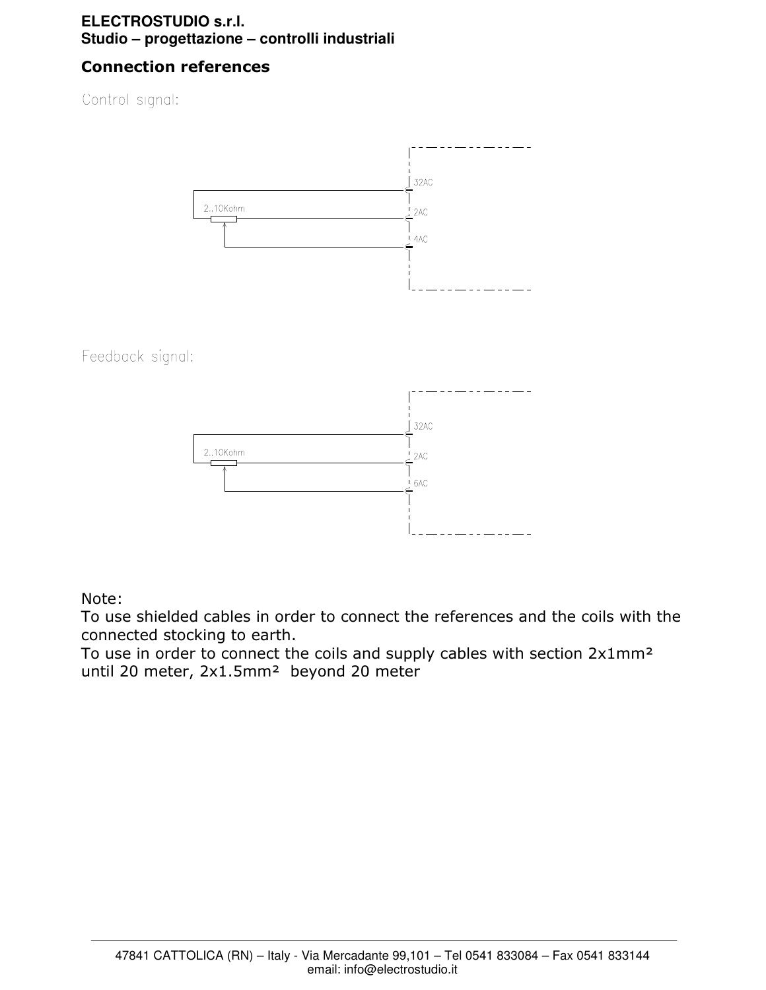# Connection references

Control signal:



Feedback signal:



Note:

To use shielded cables in order to connect the references and the coils with the connected stocking to earth.

To use in order to connect the coils and supply cables with section 2x1mm² until 20 meter, 2x1.5mm<sup>2</sup> beyond 20 meter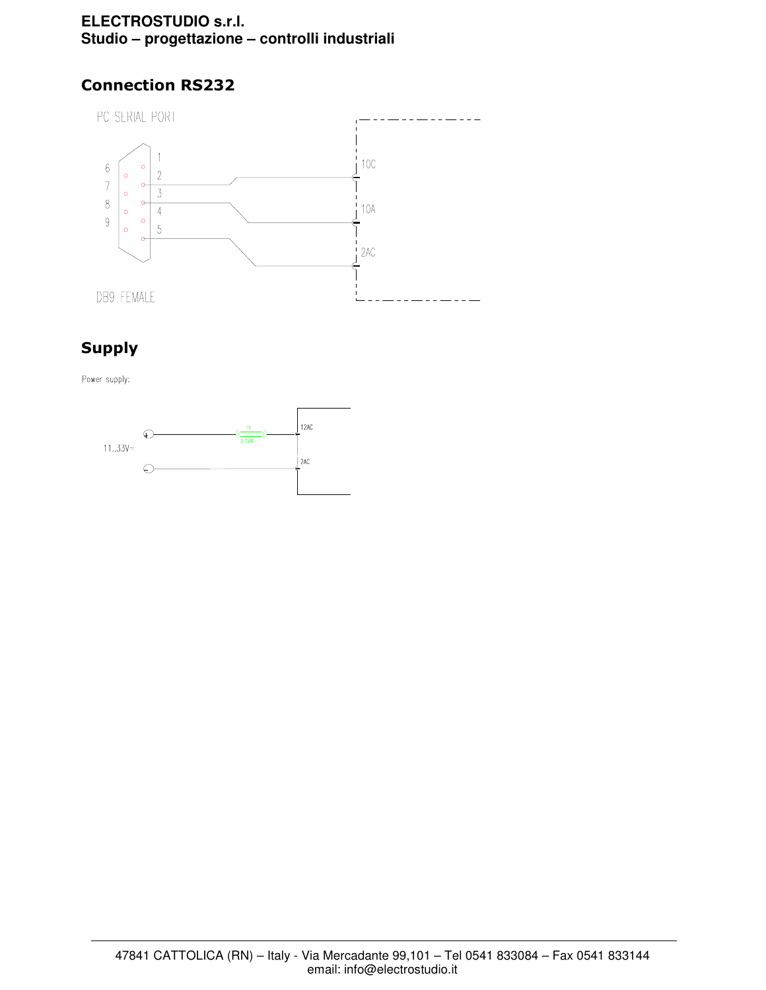# Connection RS232



# Supply

Power supply:

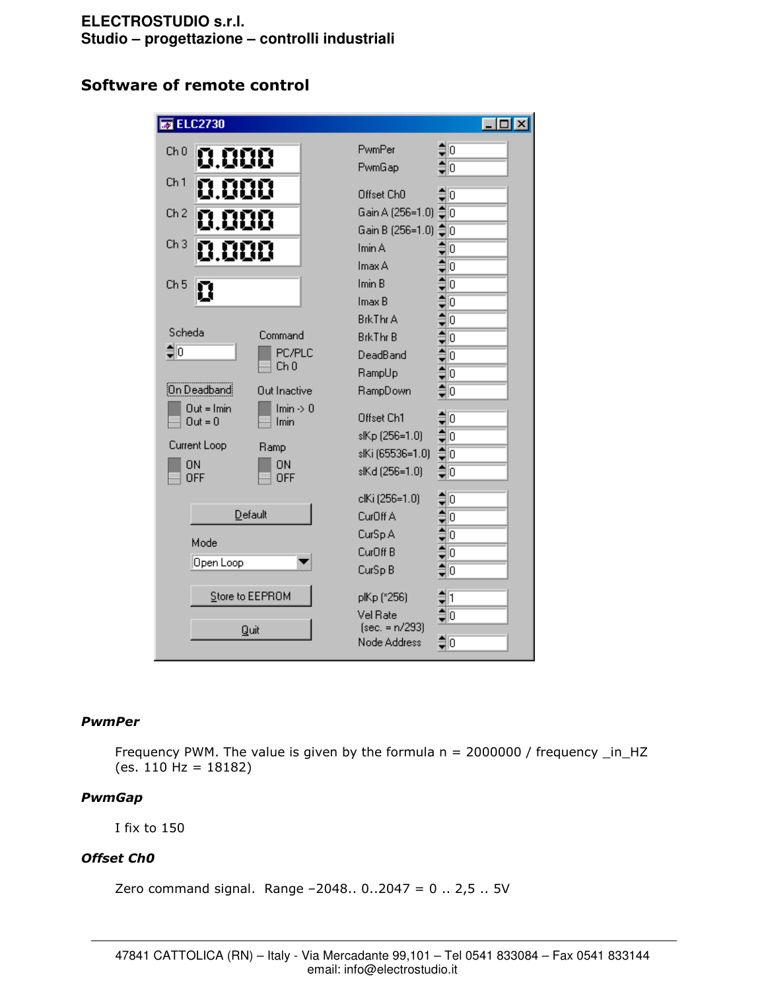# Software of remote control

| $\overline{\bullet}$ ELC2730 |                              |                                  | $ \Box$ $\times$                                                                                |
|------------------------------|------------------------------|----------------------------------|-------------------------------------------------------------------------------------------------|
| Ch 0<br>0.000                |                              | PwmPer                           | ₿<br>lo                                                                                         |
|                              |                              | PwmGap                           | آا‡                                                                                             |
| Ch <sub>1</sub><br>0.000     |                              | Offset Ch <sub>0</sub>           | $\sharp$ o                                                                                      |
| Ch 2<br>0.000                |                              | Gain A (256=1.0)                 | IО                                                                                              |
|                              |                              | Gain B (256=1.0)                 | ≑<br>lΟ                                                                                         |
| Ch <sub>3</sub><br>0.000     |                              | Imin A                           | 0                                                                                               |
|                              |                              | Imax A                           | $4$ <b>N</b> $4$ <b>N</b> $4$ <b>N</b> $4$ <b>N</b> $4$ <b>N</b> $4$ <b>N</b> $4$ <b>N</b><br>o |
| Ch <sub>5</sub><br>Π         |                              | Imin B                           | ō                                                                                               |
|                              |                              | Imax B                           | ō                                                                                               |
|                              |                              | <b>BrkThr A</b>                  | ō                                                                                               |
| Scheda                       | Command                      | <b>BrkThr B</b>                  | ō                                                                                               |
| $\frac{1}{2}$ o              | PC/PLC<br>Ch 0               | DeadBand                         | O                                                                                               |
|                              |                              | RampUp                           | ō                                                                                               |
| On Deadband                  | Out Inactive                 | RampDown                         | O                                                                                               |
| $Out = Imin$<br>$Out = 0$    | $Imin \rightarrow 0$<br>Imin | Offset Ch1                       | ō                                                                                               |
|                              |                              | slKp (256=1.0)                   | $\frac{1}{2}$<br>10                                                                             |
| Current Loop                 | Ramp                         | slKi (65536=1.0)                 | o                                                                                               |
| <b>ON</b><br>OFF             | ON<br>OFF                    | slKd (256=1.0)                   | $\hat{\mathbf{z}}$<br>10                                                                        |
|                              |                              | clKi (256=1.0)                   | O                                                                                               |
| Default                      |                              | CurOff A                         | 4141414141<br>10                                                                                |
| Mode                         |                              | CurSp A                          | ō                                                                                               |
|                              |                              | CurOff <sub>B</sub>              | O                                                                                               |
| Open Loop                    |                              | CurSp B                          | o                                                                                               |
| Store to EEPROM              |                              | plKp (*256)                      | $\frac{1}{2}$ 1                                                                                 |
|                              |                              | Vel Rate                         | $\frac{1}{2}$ o                                                                                 |
| Quit                         |                              | $[sec. = n/293]$<br>Node Address | ס∣⊜                                                                                             |

#### PwmPer

Frequency PWM. The value is given by the formula  $n = 2000000$  / frequency  $_in_HZ$ (es. 110 Hz = 18182)

## PwmGap

I fix to 150

## Offset Ch0

Zero command signal. Range –2048.. 0..2047 = 0 .. 2,5 .. 5V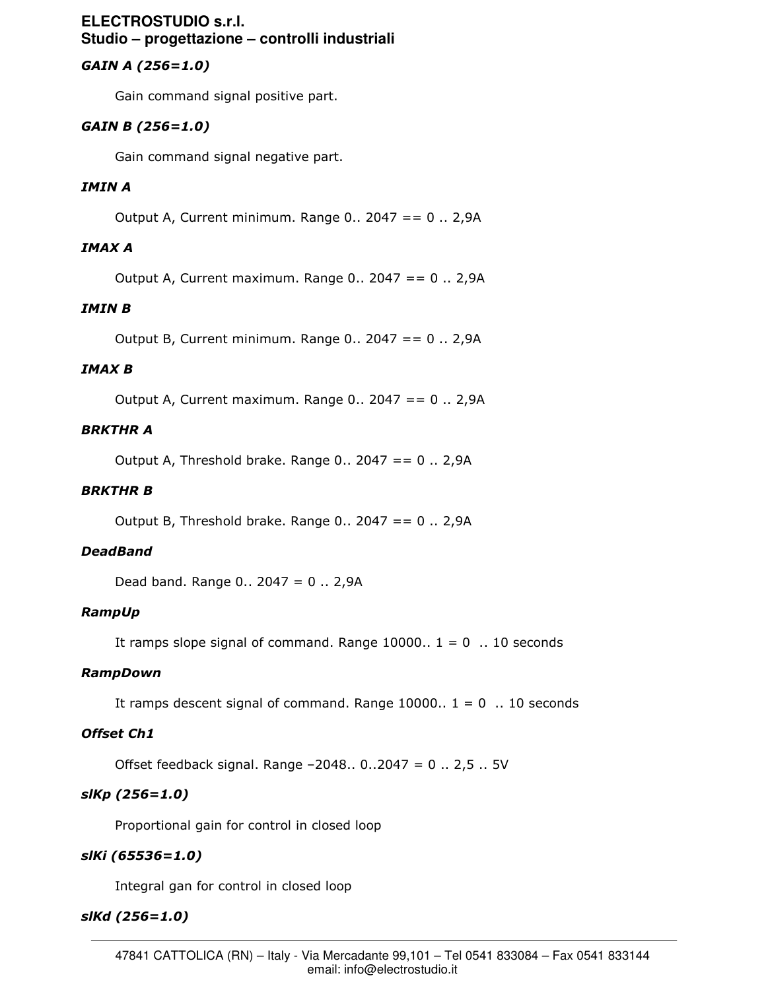# GAIN A (256=1.0)

Gain command signal positive part.

# GAIN B (256=1.0)

Gain command signal negative part.

## IMIN A

Output A, Current minimum. Range 0.. 2047 == 0 .. 2,9A

# IMAX A

Output A, Current maximum. Range 0.. 2047 == 0 .. 2,9A

## IMIN B

Output B, Current minimum. Range 0..  $2047 = 0$ .. 2,9A

#### IMAX B

Output A, Current maximum. Range  $0.. 2047 == 0.. 2,9A$ 

### BRKTHR A

Output A, Threshold brake. Range  $0.. 2047 == 0.. 2,9A$ 

#### BRKTHR B

Output B, Threshold brake. Range  $0.12047 == 0.12,9A$ 

#### DeadBand

Dead band. Range 0.. 2047 = 0 .. 2,9A

#### RampUp

It ramps slope signal of command. Range  $10000.. 1 = 0... 10$  seconds

#### RampDown

It ramps descent signal of command. Range  $10000.. 1 = 0...10$  seconds

#### Offset Ch1

Offset feedback signal. Range –2048.. 0..2047 = 0 .. 2,5 .. 5V

## slKp (256=1.0)

Proportional gain for control in closed loop

## slKi (65536=1.0)

Integral gan for control in closed loop

#### slKd (256=1.0)